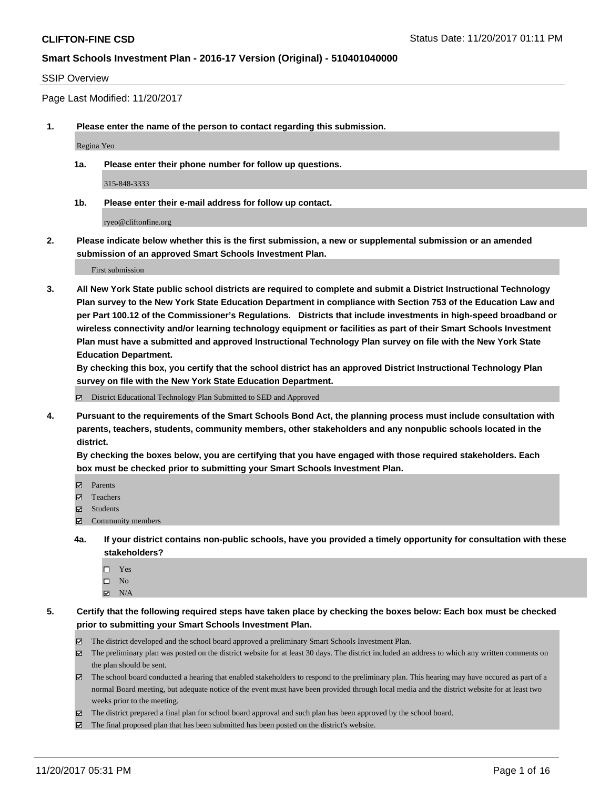#### SSIP Overview

Page Last Modified: 11/20/2017

**1. Please enter the name of the person to contact regarding this submission.**

Regina Yeo

**1a. Please enter their phone number for follow up questions.**

315-848-3333

**1b. Please enter their e-mail address for follow up contact.**

ryeo@cliftonfine.org

**2. Please indicate below whether this is the first submission, a new or supplemental submission or an amended submission of an approved Smart Schools Investment Plan.**

First submission

**3. All New York State public school districts are required to complete and submit a District Instructional Technology Plan survey to the New York State Education Department in compliance with Section 753 of the Education Law and per Part 100.12 of the Commissioner's Regulations. Districts that include investments in high-speed broadband or wireless connectivity and/or learning technology equipment or facilities as part of their Smart Schools Investment Plan must have a submitted and approved Instructional Technology Plan survey on file with the New York State Education Department.** 

**By checking this box, you certify that the school district has an approved District Instructional Technology Plan survey on file with the New York State Education Department.**

District Educational Technology Plan Submitted to SED and Approved

**4. Pursuant to the requirements of the Smart Schools Bond Act, the planning process must include consultation with parents, teachers, students, community members, other stakeholders and any nonpublic schools located in the district.** 

**By checking the boxes below, you are certifying that you have engaged with those required stakeholders. Each box must be checked prior to submitting your Smart Schools Investment Plan.**

- **Parents**
- Teachers
- Students
- $\Xi$  Community members
- **4a. If your district contains non-public schools, have you provided a timely opportunity for consultation with these stakeholders?**
	- □ Yes
	- $\square$  No
	- $\boxtimes$  N/A

**5. Certify that the following required steps have taken place by checking the boxes below: Each box must be checked prior to submitting your Smart Schools Investment Plan.**

- The district developed and the school board approved a preliminary Smart Schools Investment Plan.
- The preliminary plan was posted on the district website for at least 30 days. The district included an address to which any written comments on the plan should be sent.
- The school board conducted a hearing that enabled stakeholders to respond to the preliminary plan. This hearing may have occured as part of a normal Board meeting, but adequate notice of the event must have been provided through local media and the district website for at least two weeks prior to the meeting.
- The district prepared a final plan for school board approval and such plan has been approved by the school board.
- $\boxtimes$  The final proposed plan that has been submitted has been posted on the district's website.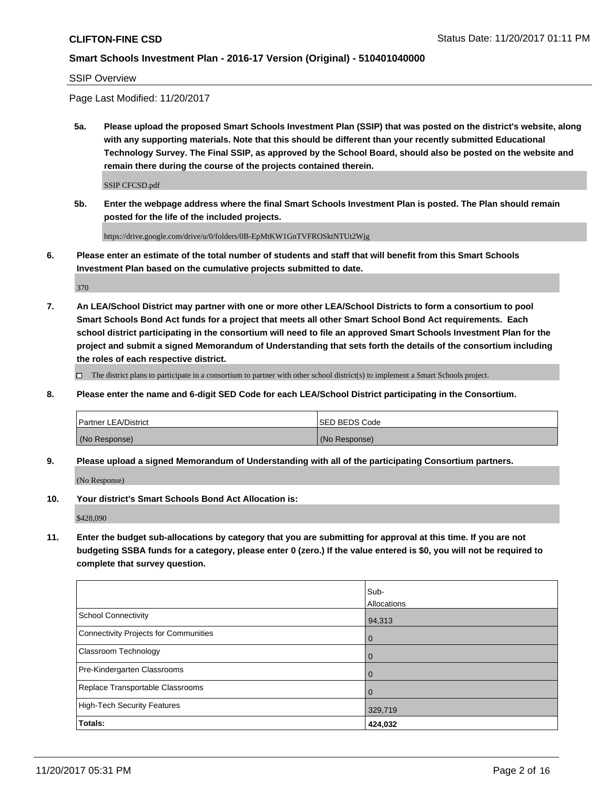#### SSIP Overview

Page Last Modified: 11/20/2017

**5a. Please upload the proposed Smart Schools Investment Plan (SSIP) that was posted on the district's website, along with any supporting materials. Note that this should be different than your recently submitted Educational Technology Survey. The Final SSIP, as approved by the School Board, should also be posted on the website and remain there during the course of the projects contained therein.**

SSIP CFCSD.pdf

**5b. Enter the webpage address where the final Smart Schools Investment Plan is posted. The Plan should remain posted for the life of the included projects.**

https://drive.google.com/drive/u/0/folders/0B-EpMtKW1GnTVFROSktNTUt2Wjg

**6. Please enter an estimate of the total number of students and staff that will benefit from this Smart Schools Investment Plan based on the cumulative projects submitted to date.**

370

**7. An LEA/School District may partner with one or more other LEA/School Districts to form a consortium to pool Smart Schools Bond Act funds for a project that meets all other Smart School Bond Act requirements. Each school district participating in the consortium will need to file an approved Smart Schools Investment Plan for the project and submit a signed Memorandum of Understanding that sets forth the details of the consortium including the roles of each respective district.**

 $\Box$  The district plans to participate in a consortium to partner with other school district(s) to implement a Smart Schools project.

**8. Please enter the name and 6-digit SED Code for each LEA/School District participating in the Consortium.**

| <b>Partner LEA/District</b> | <b>ISED BEDS Code</b> |
|-----------------------------|-----------------------|
| (No Response)               | (No Response)         |

**9. Please upload a signed Memorandum of Understanding with all of the participating Consortium partners.**

(No Response)

**10. Your district's Smart Schools Bond Act Allocation is:**

\$428,090

**11. Enter the budget sub-allocations by category that you are submitting for approval at this time. If you are not budgeting SSBA funds for a category, please enter 0 (zero.) If the value entered is \$0, you will not be required to complete that survey question.**

|                                              | Sub-               |
|----------------------------------------------|--------------------|
|                                              | <b>Allocations</b> |
| <b>School Connectivity</b>                   | 94,313             |
| <b>Connectivity Projects for Communities</b> | l 0                |
| Classroom Technology                         | $\overline{0}$     |
| Pre-Kindergarten Classrooms                  | $\overline{0}$     |
| Replace Transportable Classrooms             | $\mathbf 0$        |
| <b>High-Tech Security Features</b>           | 329,719            |
| Totals:                                      | 424,032            |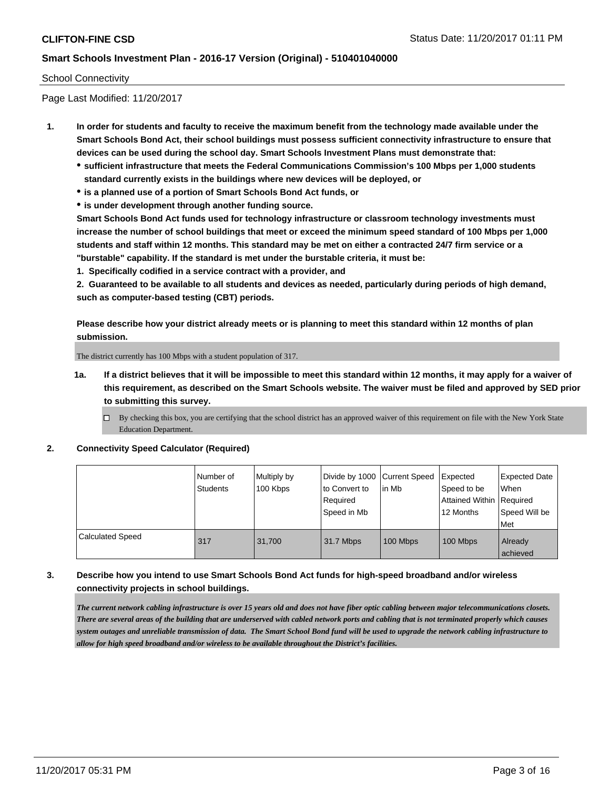#### School Connectivity

Page Last Modified: 11/20/2017

- **1. In order for students and faculty to receive the maximum benefit from the technology made available under the Smart Schools Bond Act, their school buildings must possess sufficient connectivity infrastructure to ensure that devices can be used during the school day. Smart Schools Investment Plans must demonstrate that:**
	- **sufficient infrastructure that meets the Federal Communications Commission's 100 Mbps per 1,000 students standard currently exists in the buildings where new devices will be deployed, or**
	- **is a planned use of a portion of Smart Schools Bond Act funds, or**
	- **is under development through another funding source.**

**Smart Schools Bond Act funds used for technology infrastructure or classroom technology investments must increase the number of school buildings that meet or exceed the minimum speed standard of 100 Mbps per 1,000 students and staff within 12 months. This standard may be met on either a contracted 24/7 firm service or a "burstable" capability. If the standard is met under the burstable criteria, it must be:**

**1. Specifically codified in a service contract with a provider, and**

**2. Guaranteed to be available to all students and devices as needed, particularly during periods of high demand, such as computer-based testing (CBT) periods.**

**Please describe how your district already meets or is planning to meet this standard within 12 months of plan submission.**

The district currently has 100 Mbps with a student population of 317.

**1a. If a district believes that it will be impossible to meet this standard within 12 months, it may apply for a waiver of this requirement, as described on the Smart Schools website. The waiver must be filed and approved by SED prior to submitting this survey.**

**2. Connectivity Speed Calculator (Required)**

|                         | i Number of<br><b>Students</b> | Multiply by<br>100 Kbps | Divide by 1000   Current Speed<br>to Convert to<br>Required<br>l Speed in Mb | lin Mb   | Expected<br>Speed to be<br>Attained Within   Required<br>12 Months | <b>Expected Date</b><br>When<br>Speed Will be<br>Met |
|-------------------------|--------------------------------|-------------------------|------------------------------------------------------------------------------|----------|--------------------------------------------------------------------|------------------------------------------------------|
| <b>Calculated Speed</b> | 317                            | 31.700                  | 31.7 Mbps                                                                    | 100 Mbps | 100 Mbps                                                           | Already<br>achieved                                  |

#### **3. Describe how you intend to use Smart Schools Bond Act funds for high-speed broadband and/or wireless connectivity projects in school buildings.**

*The current network cabling infrastructure is over 15 years old and does not have fiber optic cabling between major telecommunications closets. There are several areas of the building that are underserved with cabled network ports and cabling that is not terminated properly which causes system outages and unreliable transmission of data. The Smart School Bond fund will be used to upgrade the network cabling infrastructure to allow for high speed broadband and/or wireless to be available throughout the District's facilities.*

 $\Box$  By checking this box, you are certifying that the school district has an approved waiver of this requirement on file with the New York State Education Department.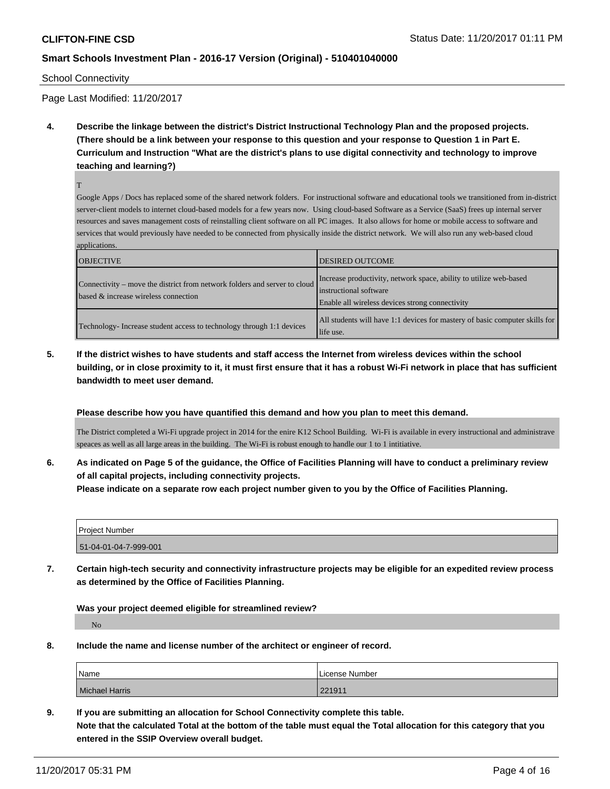School Connectivity

Page Last Modified: 11/20/2017

**4. Describe the linkage between the district's District Instructional Technology Plan and the proposed projects. (There should be a link between your response to this question and your response to Question 1 in Part E. Curriculum and Instruction "What are the district's plans to use digital connectivity and technology to improve teaching and learning?)**

T

Google Apps / Docs has replaced some of the shared network folders. For instructional software and educational tools we transitioned from in-district server-client models to internet cloud-based models for a few years now. Using cloud-based Software as a Service (SaaS) frees up internal server resources and saves management costs of reinstalling client software on all PC images. It also allows for home or mobile access to software and services that would previously have needed to be connected from physically inside the district network. We will also run any web-based cloud applications.

| <b>OBJECTIVE</b>                                                                                                  | <b>DESIRED OUTCOME</b>                                                                                                                          |
|-------------------------------------------------------------------------------------------------------------------|-------------------------------------------------------------------------------------------------------------------------------------------------|
| Connectivity – move the district from network folders and server to cloud<br>based & increase wireless connection | Increase productivity, network space, ability to utilize web-based<br>instructional software<br>Enable all wireless devices strong connectivity |
| Technology-Increase student access to technology through 1:1 devices                                              | All students will have 1:1 devices for mastery of basic computer skills for<br>life use.                                                        |

**5. If the district wishes to have students and staff access the Internet from wireless devices within the school building, or in close proximity to it, it must first ensure that it has a robust Wi-Fi network in place that has sufficient bandwidth to meet user demand.**

**Please describe how you have quantified this demand and how you plan to meet this demand.**

The District completed a Wi-Fi upgrade project in 2014 for the enire K12 School Building. Wi-Fi is available in every instructional and administrave speaces as well as all large areas in the building. The Wi-Fi is robust enough to handle our 1 to 1 intitiative.

**6. As indicated on Page 5 of the guidance, the Office of Facilities Planning will have to conduct a preliminary review of all capital projects, including connectivity projects.**

**Please indicate on a separate row each project number given to you by the Office of Facilities Planning.**

| l Proiect Number      |  |
|-----------------------|--|
| 51-04-01-04-7-999-001 |  |

**7. Certain high-tech security and connectivity infrastructure projects may be eligible for an expedited review process as determined by the Office of Facilities Planning.**

**Was your project deemed eligible for streamlined review?**

No

**8. Include the name and license number of the architect or engineer of record.**

| Name           | License Number |
|----------------|----------------|
| Michael Harris | 221911         |

**9. If you are submitting an allocation for School Connectivity complete this table. Note that the calculated Total at the bottom of the table must equal the Total allocation for this category that you entered in the SSIP Overview overall budget.**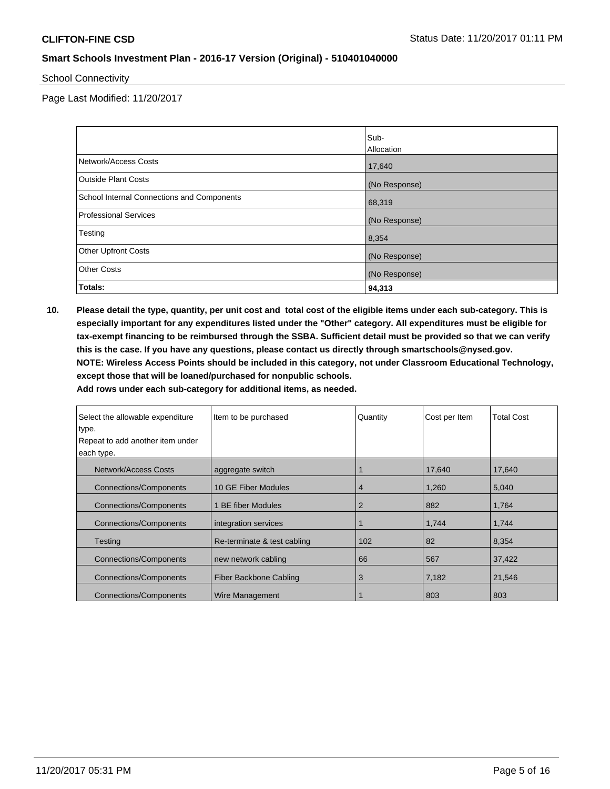School Connectivity

Page Last Modified: 11/20/2017

|                                            | Sub-          |
|--------------------------------------------|---------------|
|                                            | Allocation    |
| Network/Access Costs                       | 17,640        |
| <b>Outside Plant Costs</b>                 | (No Response) |
| School Internal Connections and Components | 68,319        |
| <b>Professional Services</b>               | (No Response) |
| Testing                                    | 8,354         |
| <b>Other Upfront Costs</b>                 | (No Response) |
| <b>Other Costs</b>                         | (No Response) |
| Totals:                                    | 94,313        |

**10. Please detail the type, quantity, per unit cost and total cost of the eligible items under each sub-category. This is especially important for any expenditures listed under the "Other" category. All expenditures must be eligible for tax-exempt financing to be reimbursed through the SSBA. Sufficient detail must be provided so that we can verify this is the case. If you have any questions, please contact us directly through smartschools@nysed.gov. NOTE: Wireless Access Points should be included in this category, not under Classroom Educational Technology, except those that will be loaned/purchased for nonpublic schools.**

| Select the allowable expenditure<br>type.<br>Repeat to add another item under | Item to be purchased    | Quantity       | Cost per Item | <b>Total Cost</b> |
|-------------------------------------------------------------------------------|-------------------------|----------------|---------------|-------------------|
| each type.                                                                    |                         |                |               |                   |
| Network/Access Costs                                                          | aggregate switch        |                | 17,640        | 17,640            |
| <b>Connections/Components</b>                                                 | 10 GE Fiber Modules     | 4              | 1,260         | 5,040             |
| <b>Connections/Components</b>                                                 | <b>BE fiber Modules</b> | $\overline{2}$ | 882           | 1,764             |
| <b>Connections/Components</b>                                                 | integration services    |                | 1,744         | 1,744             |
| Testing<br>Re-terminate & test cabling                                        |                         | 102            | 82            | 8,354             |
| <b>Connections/Components</b>                                                 | new network cabling     | 66             | 567           | 37,422            |
| Connections/Components                                                        | Fiber Backbone Cabling  | 3              | 7,182         | 21,546            |
| Connections/Components                                                        | Wire Management         |                | 803           | 803               |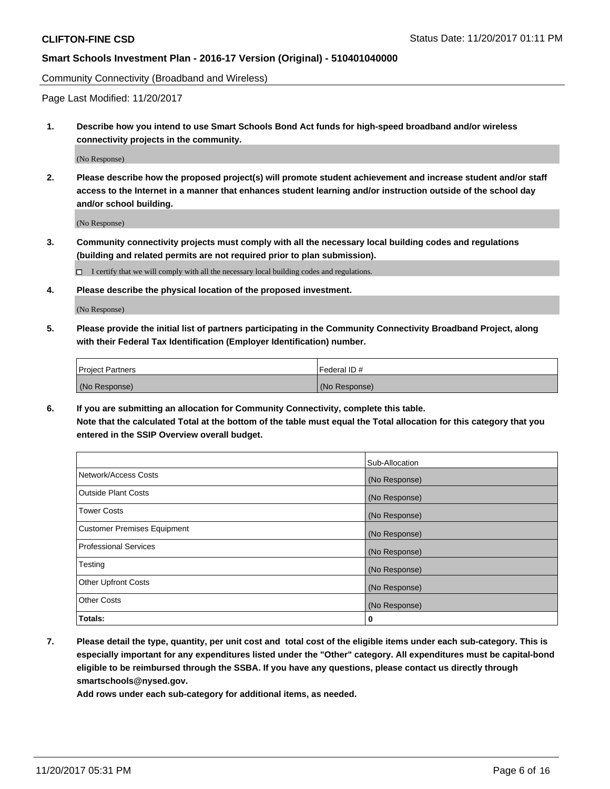Community Connectivity (Broadband and Wireless)

Page Last Modified: 11/20/2017

**1. Describe how you intend to use Smart Schools Bond Act funds for high-speed broadband and/or wireless connectivity projects in the community.**

(No Response)

**2. Please describe how the proposed project(s) will promote student achievement and increase student and/or staff access to the Internet in a manner that enhances student learning and/or instruction outside of the school day and/or school building.**

(No Response)

**3. Community connectivity projects must comply with all the necessary local building codes and regulations (building and related permits are not required prior to plan submission).**

 $\Box$  I certify that we will comply with all the necessary local building codes and regulations.

**4. Please describe the physical location of the proposed investment.**

(No Response)

**5. Please provide the initial list of partners participating in the Community Connectivity Broadband Project, along with their Federal Tax Identification (Employer Identification) number.**

| <b>Project Partners</b> | l Federal ID # |
|-------------------------|----------------|
| (No Response)           | (No Response)  |

**6. If you are submitting an allocation for Community Connectivity, complete this table. Note that the calculated Total at the bottom of the table must equal the Total allocation for this category that you entered in the SSIP Overview overall budget.**

|                                    | Sub-Allocation |
|------------------------------------|----------------|
| Network/Access Costs               | (No Response)  |
| <b>Outside Plant Costs</b>         | (No Response)  |
| <b>Tower Costs</b>                 | (No Response)  |
| <b>Customer Premises Equipment</b> | (No Response)  |
| <b>Professional Services</b>       | (No Response)  |
| Testing                            | (No Response)  |
| <b>Other Upfront Costs</b>         | (No Response)  |
| <b>Other Costs</b>                 | (No Response)  |
| Totals:                            | 0              |

**7. Please detail the type, quantity, per unit cost and total cost of the eligible items under each sub-category. This is especially important for any expenditures listed under the "Other" category. All expenditures must be capital-bond eligible to be reimbursed through the SSBA. If you have any questions, please contact us directly through smartschools@nysed.gov.**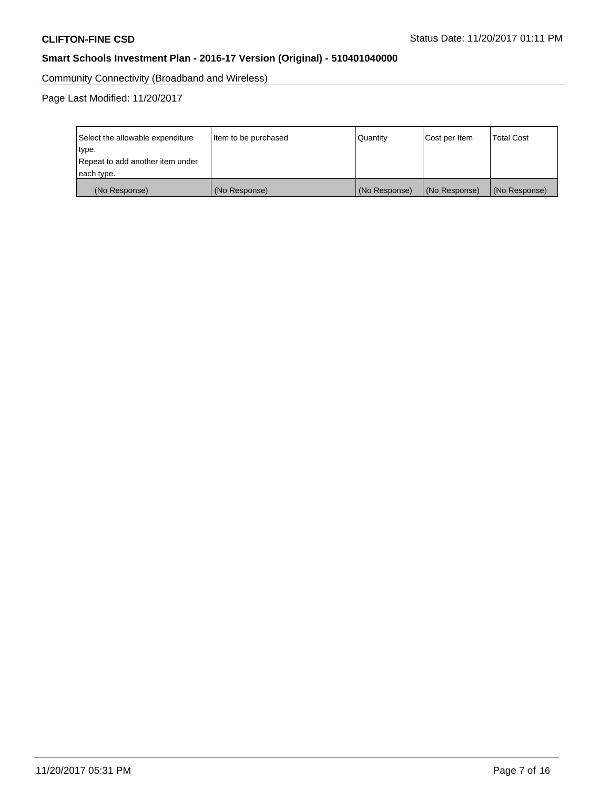Community Connectivity (Broadband and Wireless)

Page Last Modified: 11/20/2017

| Select the allowable expenditure<br>type.<br>Repeat to add another item under | Item to be purchased<br> Quantity |               | Cost per Item | <b>Total Cost</b> |
|-------------------------------------------------------------------------------|-----------------------------------|---------------|---------------|-------------------|
| each type.                                                                    |                                   |               |               |                   |
| (No Response)                                                                 | (No Response)                     | (No Response) | (No Response) | (No Response)     |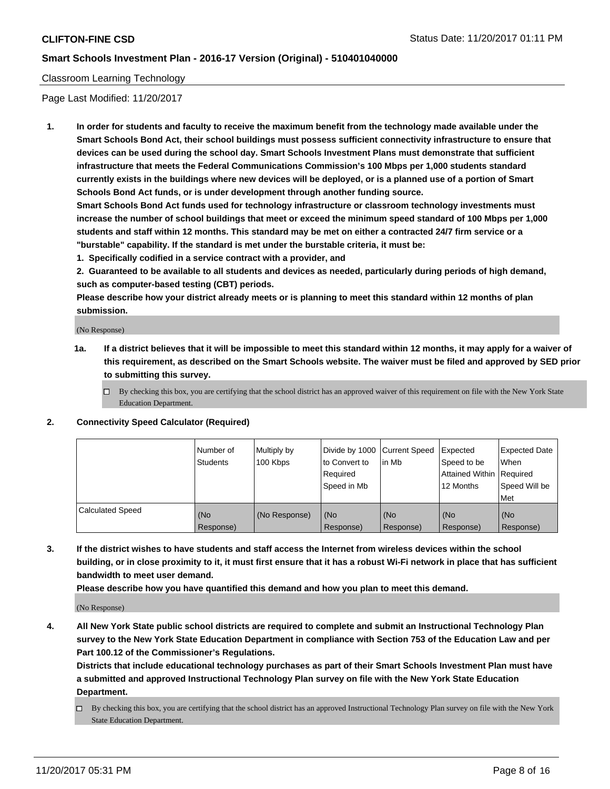### Classroom Learning Technology

Page Last Modified: 11/20/2017

**1. In order for students and faculty to receive the maximum benefit from the technology made available under the Smart Schools Bond Act, their school buildings must possess sufficient connectivity infrastructure to ensure that devices can be used during the school day. Smart Schools Investment Plans must demonstrate that sufficient infrastructure that meets the Federal Communications Commission's 100 Mbps per 1,000 students standard currently exists in the buildings where new devices will be deployed, or is a planned use of a portion of Smart Schools Bond Act funds, or is under development through another funding source.**

**Smart Schools Bond Act funds used for technology infrastructure or classroom technology investments must increase the number of school buildings that meet or exceed the minimum speed standard of 100 Mbps per 1,000 students and staff within 12 months. This standard may be met on either a contracted 24/7 firm service or a "burstable" capability. If the standard is met under the burstable criteria, it must be:**

**1. Specifically codified in a service contract with a provider, and**

**2. Guaranteed to be available to all students and devices as needed, particularly during periods of high demand, such as computer-based testing (CBT) periods.**

**Please describe how your district already meets or is planning to meet this standard within 12 months of plan submission.**

(No Response)

- **1a. If a district believes that it will be impossible to meet this standard within 12 months, it may apply for a waiver of this requirement, as described on the Smart Schools website. The waiver must be filed and approved by SED prior to submitting this survey.**
	- $\Box$  By checking this box, you are certifying that the school district has an approved waiver of this requirement on file with the New York State Education Department.
- **2. Connectivity Speed Calculator (Required)**

|                         | Number of<br><b>Students</b> | Multiply by<br>100 Kbps | Divide by 1000 Current Speed<br>to Convert to<br>Reauired<br>Speed in Mb | l in Mb          | Expected<br>Speed to be<br>Attained Within   Required<br>12 Months | Expected Date<br>When<br>Speed Will be<br>Met |
|-------------------------|------------------------------|-------------------------|--------------------------------------------------------------------------|------------------|--------------------------------------------------------------------|-----------------------------------------------|
| <b>Calculated Speed</b> | (No<br>Response)             | (No Response)           | (No<br>Response)                                                         | (No<br>Response) | (No<br>Response)                                                   | (No<br>Response)                              |

**3. If the district wishes to have students and staff access the Internet from wireless devices within the school building, or in close proximity to it, it must first ensure that it has a robust Wi-Fi network in place that has sufficient bandwidth to meet user demand.**

**Please describe how you have quantified this demand and how you plan to meet this demand.**

(No Response)

**4. All New York State public school districts are required to complete and submit an Instructional Technology Plan survey to the New York State Education Department in compliance with Section 753 of the Education Law and per Part 100.12 of the Commissioner's Regulations.**

**Districts that include educational technology purchases as part of their Smart Schools Investment Plan must have a submitted and approved Instructional Technology Plan survey on file with the New York State Education Department.**

By checking this box, you are certifying that the school district has an approved Instructional Technology Plan survey on file with the New York State Education Department.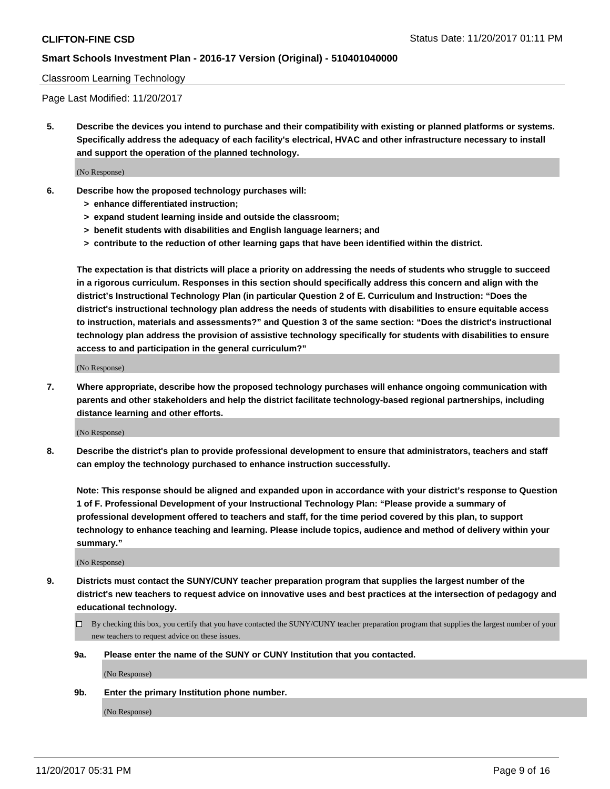#### Classroom Learning Technology

Page Last Modified: 11/20/2017

**5. Describe the devices you intend to purchase and their compatibility with existing or planned platforms or systems. Specifically address the adequacy of each facility's electrical, HVAC and other infrastructure necessary to install and support the operation of the planned technology.**

(No Response)

- **6. Describe how the proposed technology purchases will:**
	- **> enhance differentiated instruction;**
	- **> expand student learning inside and outside the classroom;**
	- **> benefit students with disabilities and English language learners; and**
	- **> contribute to the reduction of other learning gaps that have been identified within the district.**

**The expectation is that districts will place a priority on addressing the needs of students who struggle to succeed in a rigorous curriculum. Responses in this section should specifically address this concern and align with the district's Instructional Technology Plan (in particular Question 2 of E. Curriculum and Instruction: "Does the district's instructional technology plan address the needs of students with disabilities to ensure equitable access to instruction, materials and assessments?" and Question 3 of the same section: "Does the district's instructional technology plan address the provision of assistive technology specifically for students with disabilities to ensure access to and participation in the general curriculum?"**

(No Response)

**7. Where appropriate, describe how the proposed technology purchases will enhance ongoing communication with parents and other stakeholders and help the district facilitate technology-based regional partnerships, including distance learning and other efforts.**

(No Response)

**8. Describe the district's plan to provide professional development to ensure that administrators, teachers and staff can employ the technology purchased to enhance instruction successfully.**

**Note: This response should be aligned and expanded upon in accordance with your district's response to Question 1 of F. Professional Development of your Instructional Technology Plan: "Please provide a summary of professional development offered to teachers and staff, for the time period covered by this plan, to support technology to enhance teaching and learning. Please include topics, audience and method of delivery within your summary."**

(No Response)

- **9. Districts must contact the SUNY/CUNY teacher preparation program that supplies the largest number of the district's new teachers to request advice on innovative uses and best practices at the intersection of pedagogy and educational technology.**
	- By checking this box, you certify that you have contacted the SUNY/CUNY teacher preparation program that supplies the largest number of your new teachers to request advice on these issues.
	- **9a. Please enter the name of the SUNY or CUNY Institution that you contacted.**

(No Response)

**9b. Enter the primary Institution phone number.**

(No Response)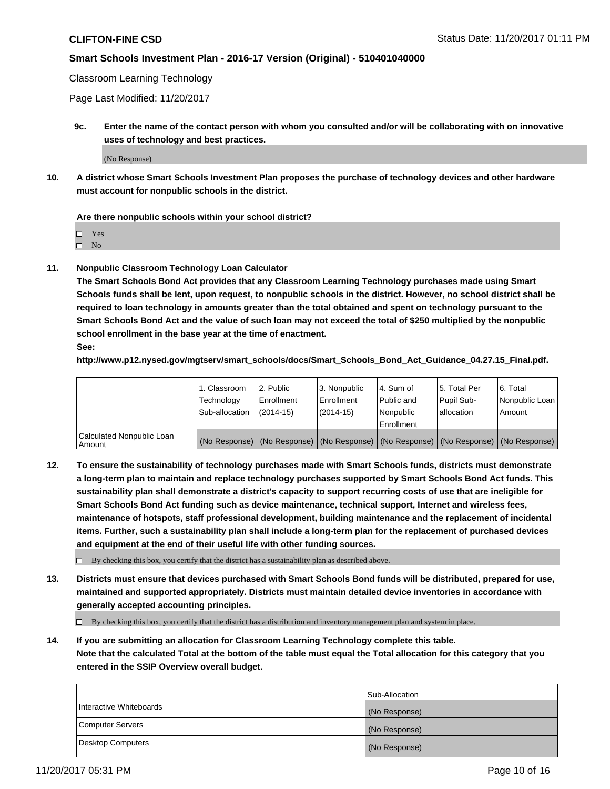Classroom Learning Technology

Page Last Modified: 11/20/2017

**9c. Enter the name of the contact person with whom you consulted and/or will be collaborating with on innovative uses of technology and best practices.**

(No Response)

**10. A district whose Smart Schools Investment Plan proposes the purchase of technology devices and other hardware must account for nonpublic schools in the district.**

**Are there nonpublic schools within your school district?**

Yes

 $\square$  No

**11. Nonpublic Classroom Technology Loan Calculator**

**The Smart Schools Bond Act provides that any Classroom Learning Technology purchases made using Smart Schools funds shall be lent, upon request, to nonpublic schools in the district. However, no school district shall be required to loan technology in amounts greater than the total obtained and spent on technology pursuant to the Smart Schools Bond Act and the value of such loan may not exceed the total of \$250 multiplied by the nonpublic school enrollment in the base year at the time of enactment.**

**See:**

**http://www.p12.nysed.gov/mgtserv/smart\_schools/docs/Smart\_Schools\_Bond\_Act\_Guidance\_04.27.15\_Final.pdf.**

|                                       | 1. Classroom   | l 2. Public   | 3. Nonpublic | l 4. Sum of | 15. Total Per                                                                                 | 6. Total       |
|---------------------------------------|----------------|---------------|--------------|-------------|-----------------------------------------------------------------------------------------------|----------------|
|                                       | Technology     | Enrollment    | Enrollment   | Public and  | Pupil Sub-                                                                                    | Nonpublic Loan |
|                                       | Sub-allocation | $(2014 - 15)$ | $(2014-15)$  | l Nonpublic | allocation                                                                                    | Amount         |
|                                       |                |               |              | Enrollment  |                                                                                               |                |
| Calculated Nonpublic Loan<br>  Amount |                |               |              |             | (No Response)   (No Response)   (No Response)   (No Response)   (No Response)   (No Response) |                |

**12. To ensure the sustainability of technology purchases made with Smart Schools funds, districts must demonstrate a long-term plan to maintain and replace technology purchases supported by Smart Schools Bond Act funds. This sustainability plan shall demonstrate a district's capacity to support recurring costs of use that are ineligible for Smart Schools Bond Act funding such as device maintenance, technical support, Internet and wireless fees, maintenance of hotspots, staff professional development, building maintenance and the replacement of incidental items. Further, such a sustainability plan shall include a long-term plan for the replacement of purchased devices and equipment at the end of their useful life with other funding sources.**

 $\Box$  By checking this box, you certify that the district has a sustainability plan as described above.

**13. Districts must ensure that devices purchased with Smart Schools Bond funds will be distributed, prepared for use, maintained and supported appropriately. Districts must maintain detailed device inventories in accordance with generally accepted accounting principles.**

By checking this box, you certify that the district has a distribution and inventory management plan and system in place.

**14. If you are submitting an allocation for Classroom Learning Technology complete this table. Note that the calculated Total at the bottom of the table must equal the Total allocation for this category that you entered in the SSIP Overview overall budget.**

|                         | Sub-Allocation |
|-------------------------|----------------|
| Interactive Whiteboards | (No Response)  |
| Computer Servers        | (No Response)  |
| Desktop Computers       | (No Response)  |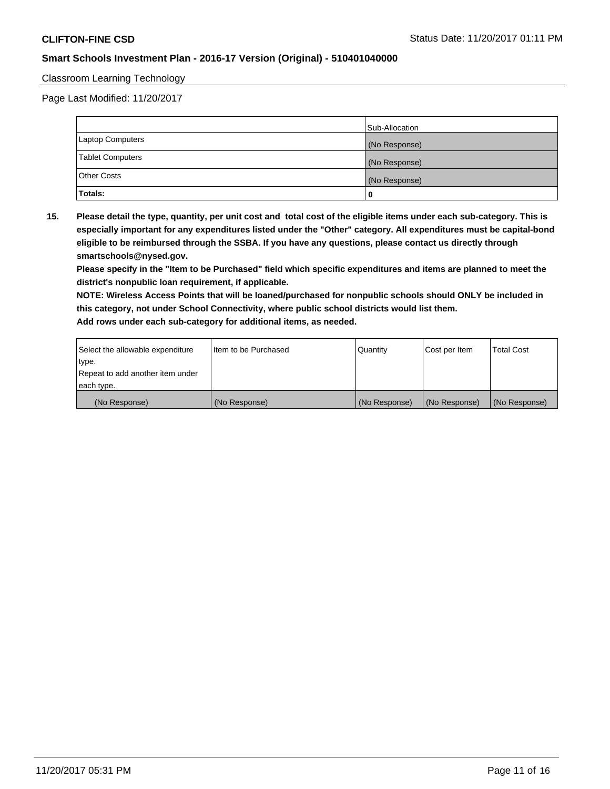#### Classroom Learning Technology

Page Last Modified: 11/20/2017

|                         | Sub-Allocation |
|-------------------------|----------------|
| Laptop Computers        | (No Response)  |
| <b>Tablet Computers</b> | (No Response)  |
| Other Costs             | (No Response)  |
| Totals:                 |                |

**15. Please detail the type, quantity, per unit cost and total cost of the eligible items under each sub-category. This is especially important for any expenditures listed under the "Other" category. All expenditures must be capital-bond eligible to be reimbursed through the SSBA. If you have any questions, please contact us directly through smartschools@nysed.gov.**

**Please specify in the "Item to be Purchased" field which specific expenditures and items are planned to meet the district's nonpublic loan requirement, if applicable.**

**NOTE: Wireless Access Points that will be loaned/purchased for nonpublic schools should ONLY be included in this category, not under School Connectivity, where public school districts would list them. Add rows under each sub-category for additional items, as needed.**

| Select the allowable expenditure | Iltem to be Purchased | Quantity      | Cost per Item | <b>Total Cost</b> |
|----------------------------------|-----------------------|---------------|---------------|-------------------|
| type.                            |                       |               |               |                   |
| Repeat to add another item under |                       |               |               |                   |
| each type.                       |                       |               |               |                   |
| (No Response)                    | (No Response)         | (No Response) | (No Response) | (No Response)     |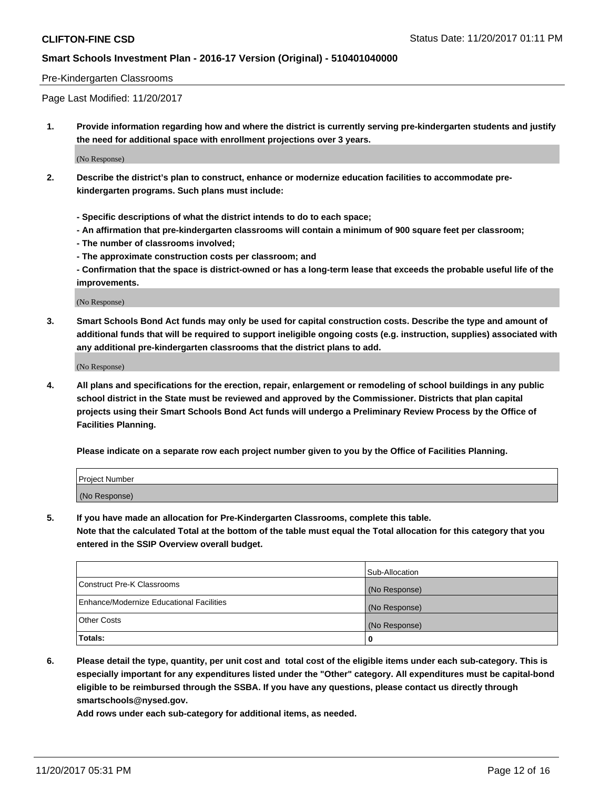#### Pre-Kindergarten Classrooms

Page Last Modified: 11/20/2017

**1. Provide information regarding how and where the district is currently serving pre-kindergarten students and justify the need for additional space with enrollment projections over 3 years.**

(No Response)

- **2. Describe the district's plan to construct, enhance or modernize education facilities to accommodate prekindergarten programs. Such plans must include:**
	- **Specific descriptions of what the district intends to do to each space;**
	- **An affirmation that pre-kindergarten classrooms will contain a minimum of 900 square feet per classroom;**
	- **The number of classrooms involved;**
	- **The approximate construction costs per classroom; and**

**- Confirmation that the space is district-owned or has a long-term lease that exceeds the probable useful life of the improvements.**

(No Response)

**3. Smart Schools Bond Act funds may only be used for capital construction costs. Describe the type and amount of additional funds that will be required to support ineligible ongoing costs (e.g. instruction, supplies) associated with any additional pre-kindergarten classrooms that the district plans to add.**

(No Response)

**4. All plans and specifications for the erection, repair, enlargement or remodeling of school buildings in any public school district in the State must be reviewed and approved by the Commissioner. Districts that plan capital projects using their Smart Schools Bond Act funds will undergo a Preliminary Review Process by the Office of Facilities Planning.**

**Please indicate on a separate row each project number given to you by the Office of Facilities Planning.**

| Project Number |  |
|----------------|--|
| (No Response)  |  |

**5. If you have made an allocation for Pre-Kindergarten Classrooms, complete this table.**

**Note that the calculated Total at the bottom of the table must equal the Total allocation for this category that you entered in the SSIP Overview overall budget.**

|                                          | Sub-Allocation |
|------------------------------------------|----------------|
| Construct Pre-K Classrooms               | (No Response)  |
| Enhance/Modernize Educational Facilities | (No Response)  |
| <b>Other Costs</b>                       | (No Response)  |
| <b>Totals:</b>                           | 0              |

**6. Please detail the type, quantity, per unit cost and total cost of the eligible items under each sub-category. This is especially important for any expenditures listed under the "Other" category. All expenditures must be capital-bond eligible to be reimbursed through the SSBA. If you have any questions, please contact us directly through smartschools@nysed.gov.**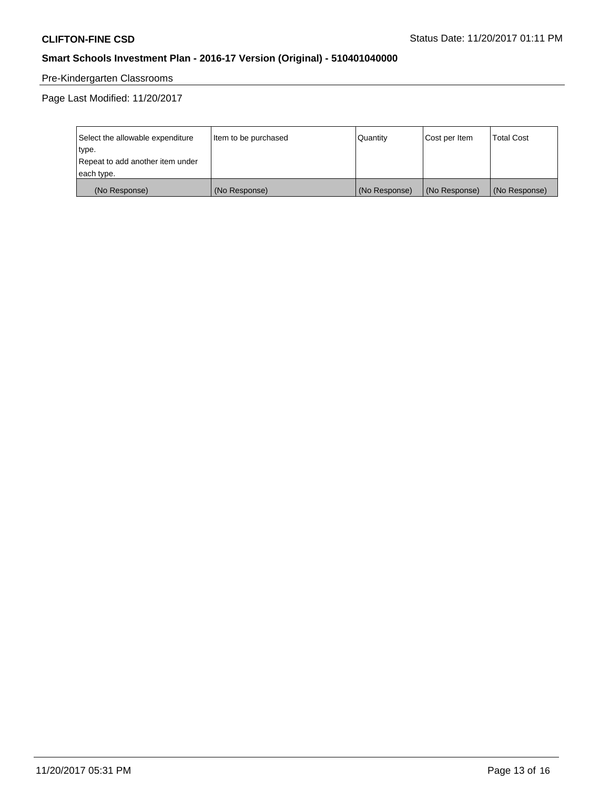# Pre-Kindergarten Classrooms

Page Last Modified: 11/20/2017

| Select the allowable expenditure | Item to be purchased | Quantity      | Cost per Item | <b>Total Cost</b> |
|----------------------------------|----------------------|---------------|---------------|-------------------|
| type.                            |                      |               |               |                   |
| Repeat to add another item under |                      |               |               |                   |
| each type.                       |                      |               |               |                   |
| (No Response)                    | (No Response)        | (No Response) | (No Response) | (No Response)     |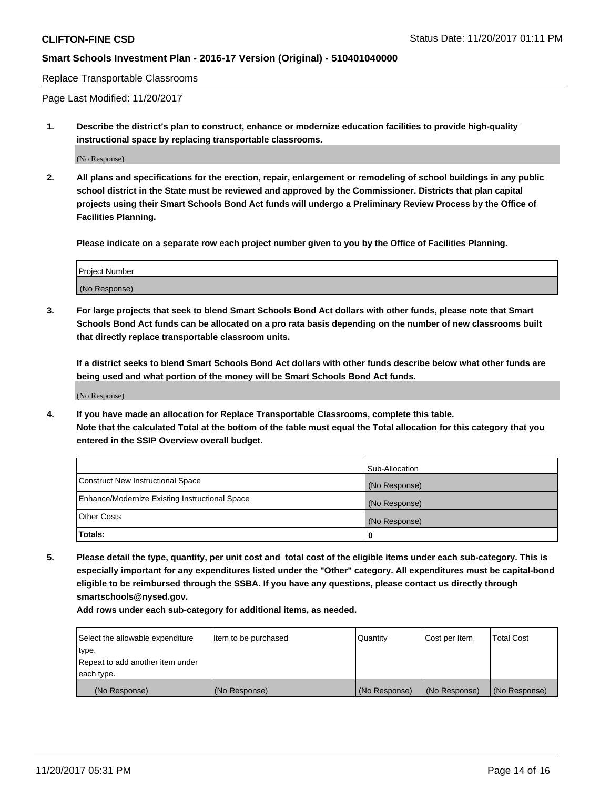Replace Transportable Classrooms

Page Last Modified: 11/20/2017

**1. Describe the district's plan to construct, enhance or modernize education facilities to provide high-quality instructional space by replacing transportable classrooms.**

(No Response)

**2. All plans and specifications for the erection, repair, enlargement or remodeling of school buildings in any public school district in the State must be reviewed and approved by the Commissioner. Districts that plan capital projects using their Smart Schools Bond Act funds will undergo a Preliminary Review Process by the Office of Facilities Planning.**

**Please indicate on a separate row each project number given to you by the Office of Facilities Planning.**

| <b>Project Number</b> |  |
|-----------------------|--|
| (No Response)         |  |

**3. For large projects that seek to blend Smart Schools Bond Act dollars with other funds, please note that Smart Schools Bond Act funds can be allocated on a pro rata basis depending on the number of new classrooms built that directly replace transportable classroom units.**

**If a district seeks to blend Smart Schools Bond Act dollars with other funds describe below what other funds are being used and what portion of the money will be Smart Schools Bond Act funds.**

(No Response)

**4. If you have made an allocation for Replace Transportable Classrooms, complete this table. Note that the calculated Total at the bottom of the table must equal the Total allocation for this category that you entered in the SSIP Overview overall budget.**

|                                                | Sub-Allocation |
|------------------------------------------------|----------------|
| Construct New Instructional Space              | (No Response)  |
| Enhance/Modernize Existing Instructional Space | (No Response)  |
| <b>Other Costs</b>                             | (No Response)  |
| Totals:                                        | 0              |

**5. Please detail the type, quantity, per unit cost and total cost of the eligible items under each sub-category. This is especially important for any expenditures listed under the "Other" category. All expenditures must be capital-bond eligible to be reimbursed through the SSBA. If you have any questions, please contact us directly through smartschools@nysed.gov.**

| Select the allowable expenditure<br>type.      | lltem to be purchased | Quantity      | Cost per Item | <b>Total Cost</b> |
|------------------------------------------------|-----------------------|---------------|---------------|-------------------|
| Repeat to add another item under<br>each type. |                       |               |               |                   |
| (No Response)                                  | (No Response)         | (No Response) | (No Response) | (No Response)     |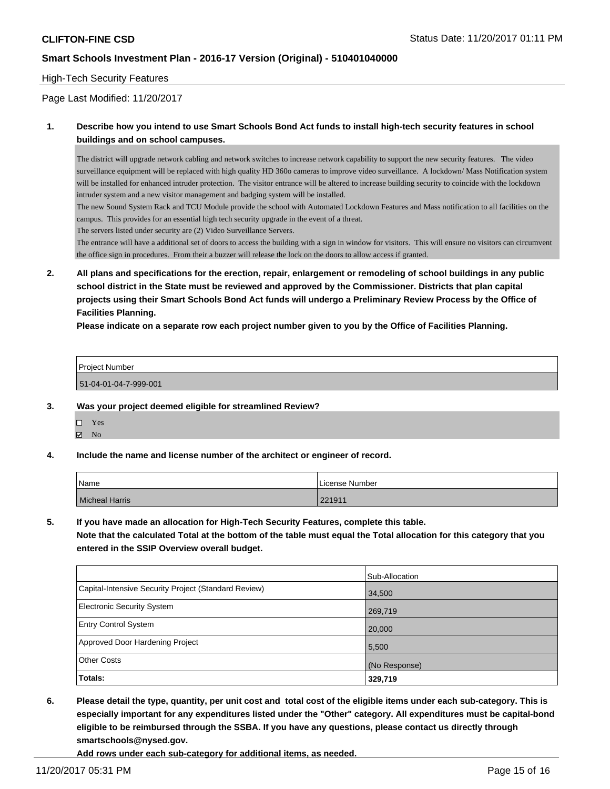#### High-Tech Security Features

Page Last Modified: 11/20/2017

### **1. Describe how you intend to use Smart Schools Bond Act funds to install high-tech security features in school buildings and on school campuses.**

The district will upgrade network cabling and network switches to increase network capability to support the new security features. The video surveillance equipment will be replaced with high quality HD 360o cameras to improve video surveillance. A lockdown/ Mass Notification system will be installed for enhanced intruder protection. The visitor entrance will be altered to increase building security to coincide with the lockdown intruder system and a new visitor management and badging system will be installed.

The new Sound System Rack and TCU Module provide the school with Automated Lockdown Features and Mass notification to all facilities on the campus. This provides for an essential high tech security upgrade in the event of a threat.

The servers listed under security are (2) Video Surveillance Servers.

The entrance will have a additional set of doors to access the building with a sign in window for visitors. This will ensure no visitors can circumvent the office sign in procedures. From their a buzzer will release the lock on the doors to allow access if granted.

**2. All plans and specifications for the erection, repair, enlargement or remodeling of school buildings in any public school district in the State must be reviewed and approved by the Commissioner. Districts that plan capital projects using their Smart Schools Bond Act funds will undergo a Preliminary Review Process by the Office of Facilities Planning.** 

**Please indicate on a separate row each project number given to you by the Office of Facilities Planning.**

| Project Number        |  |
|-----------------------|--|
| 51-04-01-04-7-999-001 |  |

#### **3. Was your project deemed eligible for streamlined Review?**

| П | Yes |
|---|-----|
| ☑ | No  |

**4. Include the name and license number of the architect or engineer of record.**

| Name                  | License Number |
|-----------------------|----------------|
| <b>Micheal Harris</b> | 221911         |

**5. If you have made an allocation for High-Tech Security Features, complete this table.**

**Note that the calculated Total at the bottom of the table must equal the Total allocation for this category that you entered in the SSIP Overview overall budget.**

|                                                      | Sub-Allocation |
|------------------------------------------------------|----------------|
| Capital-Intensive Security Project (Standard Review) | 34,500         |
| <b>Electronic Security System</b>                    | 269,719        |
| <b>Entry Control System</b>                          | 20,000         |
| Approved Door Hardening Project                      | 5,500          |
| <b>Other Costs</b>                                   | (No Response)  |
| Totals:                                              | 329,719        |

**6. Please detail the type, quantity, per unit cost and total cost of the eligible items under each sub-category. This is especially important for any expenditures listed under the "Other" category. All expenditures must be capital-bond eligible to be reimbursed through the SSBA. If you have any questions, please contact us directly through smartschools@nysed.gov.**